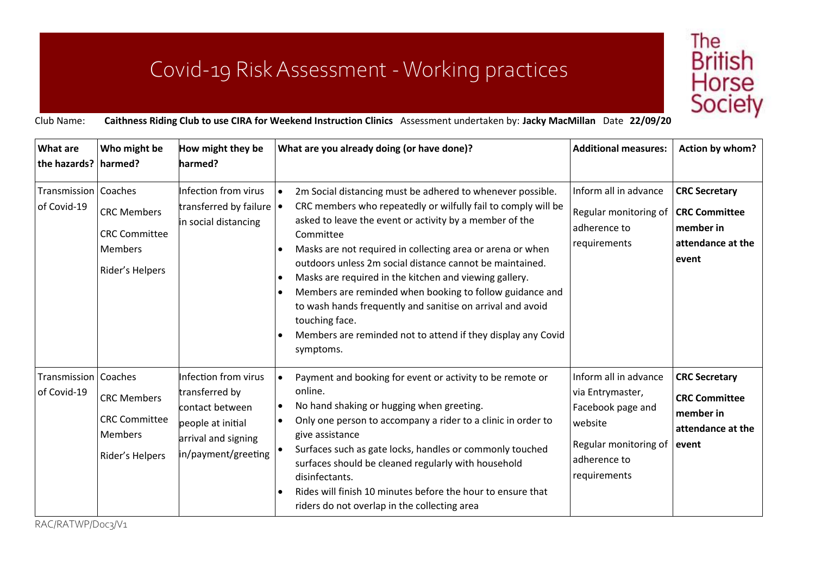## Covid-19 Risk Assessment -Working practices



Club Name: **Caithness Riding Club to use CIRA for Weekend Instruction Clinics** Assessment undertaken by: **Jacky MacMillan** Date **22/09/20**

| What are<br>the hazards? harmed?      | Who might be                                                                    | How might they be<br>harmed?                                                                                                 | What are you already doing (or have done)?                                                                                                                                                                                                                                                                                                                                                                                                                                                                                                                                                                                                                           | <b>Additional measures:</b>                                                                                                        | Action by whom?                                                                         |
|---------------------------------------|---------------------------------------------------------------------------------|------------------------------------------------------------------------------------------------------------------------------|----------------------------------------------------------------------------------------------------------------------------------------------------------------------------------------------------------------------------------------------------------------------------------------------------------------------------------------------------------------------------------------------------------------------------------------------------------------------------------------------------------------------------------------------------------------------------------------------------------------------------------------------------------------------|------------------------------------------------------------------------------------------------------------------------------------|-----------------------------------------------------------------------------------------|
| Transmission   Coaches<br>of Covid-19 | <b>CRC Members</b><br><b>CRC Committee</b><br><b>Members</b><br>Rider's Helpers | Infection from virus<br>transferred by failure $\vert \bullet \vert$<br>in social distancing                                 | 2m Social distancing must be adhered to whenever possible.<br>$\bullet$<br>CRC members who repeatedly or wilfully fail to comply will be<br>asked to leave the event or activity by a member of the<br>Committee<br>Masks are not required in collecting area or arena or when<br>$\bullet$<br>outdoors unless 2m social distance cannot be maintained.<br>Masks are required in the kitchen and viewing gallery.<br>$\bullet$<br>Members are reminded when booking to follow guidance and<br>$\bullet$<br>to wash hands frequently and sanitise on arrival and avoid<br>touching face.<br>Members are reminded not to attend if they display any Covid<br>symptoms. | Inform all in advance<br>Regular monitoring of<br>adherence to<br>requirements                                                     | <b>CRC Secretary</b><br><b>CRC Committee</b><br>member in<br>attendance at the<br>event |
| Transmission   Coaches<br>of Covid-19 | <b>CRC Members</b><br><b>CRC Committee</b><br><b>Members</b><br>Rider's Helpers | Infection from virus<br>transferred by<br>contact between<br>people at initial<br>arrival and signing<br>in/payment/greeting | Payment and booking for event or activity to be remote or<br>$\bullet$<br>online.<br>No hand shaking or hugging when greeting.<br>$\bullet$<br>Only one person to accompany a rider to a clinic in order to<br>give assistance<br>Surfaces such as gate locks, handles or commonly touched<br>surfaces should be cleaned regularly with household<br>disinfectants.<br>Rides will finish 10 minutes before the hour to ensure that<br>$\bullet$<br>riders do not overlap in the collecting area                                                                                                                                                                      | Inform all in advance<br>via Entrymaster,<br>Facebook page and<br>website<br>Regular monitoring of<br>adherence to<br>requirements | <b>CRC Secretary</b><br><b>CRC Committee</b><br>member in<br>attendance at the<br>event |

RAC/RATWP/Doc3/V1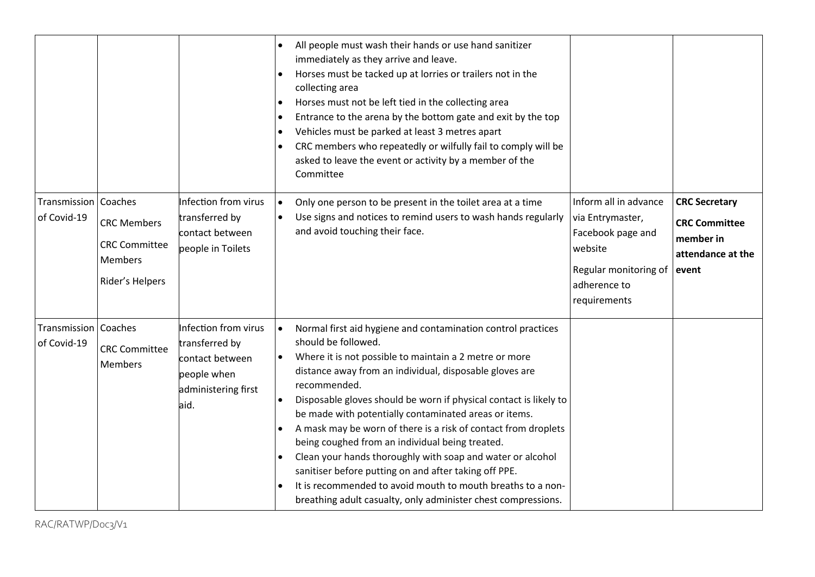|                                       |                                                                                 |                                                                                                         | All people must wash their hands or use hand sanitizer<br>immediately as they arrive and leave.<br>Horses must be tacked up at lorries or trailers not in the<br>$\bullet$<br>collecting area<br>Horses must not be left tied in the collecting area<br>$\bullet$<br>Entrance to the arena by the bottom gate and exit by the top<br>$\bullet$<br>Vehicles must be parked at least 3 metres apart<br>$\bullet$<br>CRC members who repeatedly or wilfully fail to comply will be<br>$\bullet$<br>asked to leave the event or activity by a member of the<br>Committee                                                                                                                                                                                                                   |                                                                                                                                    |                                                                                         |
|---------------------------------------|---------------------------------------------------------------------------------|---------------------------------------------------------------------------------------------------------|----------------------------------------------------------------------------------------------------------------------------------------------------------------------------------------------------------------------------------------------------------------------------------------------------------------------------------------------------------------------------------------------------------------------------------------------------------------------------------------------------------------------------------------------------------------------------------------------------------------------------------------------------------------------------------------------------------------------------------------------------------------------------------------|------------------------------------------------------------------------------------------------------------------------------------|-----------------------------------------------------------------------------------------|
| Transmission   Coaches<br>of Covid-19 | <b>CRC Members</b><br><b>CRC</b> Committee<br><b>Members</b><br>Rider's Helpers | Infection from virus<br>transferred by<br>contact between<br>people in Toilets                          | Only one person to be present in the toilet area at a time<br>$\bullet$<br>Use signs and notices to remind users to wash hands regularly<br>and avoid touching their face.                                                                                                                                                                                                                                                                                                                                                                                                                                                                                                                                                                                                             | Inform all in advance<br>via Entrymaster,<br>Facebook page and<br>website<br>Regular monitoring of<br>adherence to<br>requirements | <b>CRC Secretary</b><br><b>CRC Committee</b><br>member in<br>attendance at the<br>event |
| Transmission   Coaches<br>of Covid-19 | <b>CRC Committee</b><br><b>Members</b>                                          | Infection from virus<br>transferred by<br>contact between<br>people when<br>administering first<br>aid. | Normal first aid hygiene and contamination control practices<br>$\bullet$<br>should be followed.<br>Where it is not possible to maintain a 2 metre or more<br>distance away from an individual, disposable gloves are<br>recommended.<br>Disposable gloves should be worn if physical contact is likely to<br>$\bullet$<br>be made with potentially contaminated areas or items.<br>A mask may be worn of there is a risk of contact from droplets<br>$\bullet$<br>being coughed from an individual being treated.<br>Clean your hands thoroughly with soap and water or alcohol<br>$\bullet$<br>sanitiser before putting on and after taking off PPE.<br>It is recommended to avoid mouth to mouth breaths to a non-<br>breathing adult casualty, only administer chest compressions. |                                                                                                                                    |                                                                                         |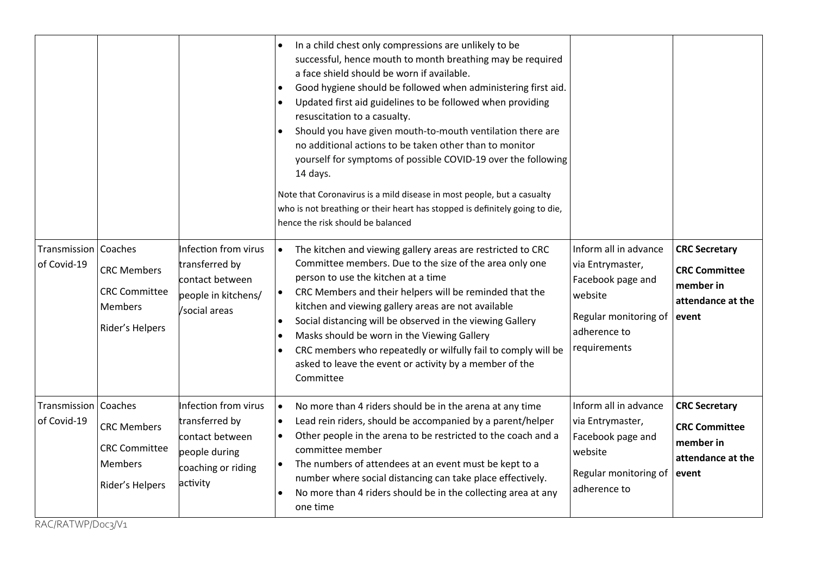|                                       |                                                                                 |                                                                                                              | In a child chest only compressions are unlikely to be<br>successful, hence mouth to month breathing may be required<br>a face shield should be worn if available.<br>Good hygiene should be followed when administering first aid.<br>$\bullet$<br>Updated first aid guidelines to be followed when providing<br>$\bullet$<br>resuscitation to a casualty.<br>Should you have given mouth-to-mouth ventilation there are<br>no additional actions to be taken other than to monitor<br>yourself for symptoms of possible COVID-19 over the following<br>14 days.<br>Note that Coronavirus is a mild disease in most people, but a casualty<br>who is not breathing or their heart has stopped is definitely going to die,<br>hence the risk should be balanced |                                                                                                                                    |                                                                                         |
|---------------------------------------|---------------------------------------------------------------------------------|--------------------------------------------------------------------------------------------------------------|----------------------------------------------------------------------------------------------------------------------------------------------------------------------------------------------------------------------------------------------------------------------------------------------------------------------------------------------------------------------------------------------------------------------------------------------------------------------------------------------------------------------------------------------------------------------------------------------------------------------------------------------------------------------------------------------------------------------------------------------------------------|------------------------------------------------------------------------------------------------------------------------------------|-----------------------------------------------------------------------------------------|
| Transmission   Coaches<br>of Covid-19 | <b>CRC Members</b><br><b>CRC Committee</b><br><b>Members</b><br>Rider's Helpers | Infection from virus<br>transferred by<br>contact between<br>people in kitchens/<br>/social areas            | The kitchen and viewing gallery areas are restricted to CRC<br>$\bullet$<br>Committee members. Due to the size of the area only one<br>person to use the kitchen at a time<br>CRC Members and their helpers will be reminded that the<br>kitchen and viewing gallery areas are not available<br>Social distancing will be observed in the viewing Gallery<br>$\bullet$<br>Masks should be worn in the Viewing Gallery<br>$\bullet$<br>CRC members who repeatedly or wilfully fail to comply will be<br>$\bullet$<br>asked to leave the event or activity by a member of the<br>Committee                                                                                                                                                                       | Inform all in advance<br>via Entrymaster,<br>Facebook page and<br>website<br>Regular monitoring of<br>adherence to<br>requirements | <b>CRC Secretary</b><br><b>CRC Committee</b><br>member in<br>attendance at the<br>event |
| Transmission   Coaches<br>of Covid-19 | <b>CRC Members</b><br><b>CRC Committee</b><br><b>Members</b><br>Rider's Helpers | Infection from virus<br>transferred by<br>contact between<br>people during<br>coaching or riding<br>activity | No more than 4 riders should be in the arena at any time<br>$\bullet$<br>Lead rein riders, should be accompanied by a parent/helper<br>$\bullet$<br>Other people in the arena to be restricted to the coach and a<br>committee member<br>The numbers of attendees at an event must be kept to a<br>$\bullet$<br>number where social distancing can take place effectively.<br>No more than 4 riders should be in the collecting area at any<br>one time                                                                                                                                                                                                                                                                                                        | Inform all in advance<br>via Entrymaster,<br>Facebook page and<br>website<br>Regular monitoring of<br>adherence to                 | <b>CRC Secretary</b><br><b>CRC Committee</b><br>member in<br>attendance at the<br>event |

RAC/RATWP/Doc3/V1